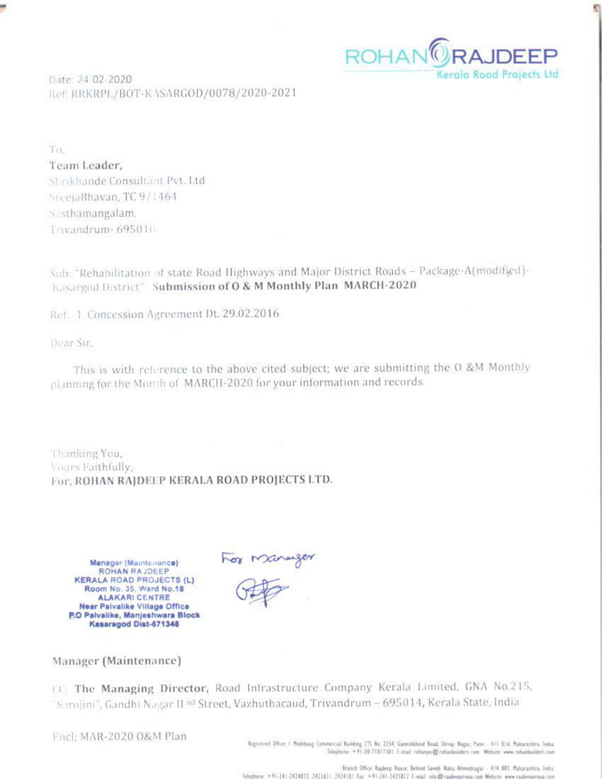

e

Date: 24-02-2020 Ref: RRKRPL/BOT-KASARGOD/0078/2020-2021

To. Team Leader. Shrikhande Consultant Pvt. Ltd SreeiaBhavan, TC 9/1464 Sasthamangalam, Trivandrum-695010.

Sub: "Rehabilitation of state Road Highways and Major District Roads - Package-A(modified)-Kasargod District<sup>®</sup> Submission of O & M Monthly Plan MARCH-2020

Ref. - 1. Concession Agreement Dt. 29.02.2016

Dear Sir.

This is with reference to the above cited subject; we are submitting the O &M Monthly planning for the Month of MARCH-2020 for your information and records.

Thanking You, Yours Faithfully, For, ROHAN RAJDEEP KERALA ROAD PROJECTS LTD.

Manager (Maintenance) ROHAN RAJDEEP **KERALA ROAD PROJECTS (L)** Room No. 35, Ward No.18 **ALAKARI CENTRE** Near Paivalike Village Office P.O Palvalike, Manjeshwara Block Kasaragod Dist-671348

For Manager

### Manager (Maintenance)

CC: The Managing Director, Road Infrastructure Company Kerala Limited, GNA No.215, "Sarojini", Gandhi Nagar II <sup>nd</sup> Street, Vazhuthacaud, Trivandrum - 695014, Kerala State, India

Encl: MAR-2020 O&M Plan

Registered Office: I Modibaug Commercial Building, CTS No. 2254, Ganeshkhind Road, Shivaji Nagar, Pane - 411 016. Maharashtra, India.<br>Telephone: +91-20-71017101. E-mail: rohanp=@rohanbuilders.com Website: www.rohanbuilders

Branch Office: Rajdeep House, Behind Savedi Naka, Ahmedragar - 414 003. Maharashtra. India. Telephone +91-241-2424072; 2423631; 2424101 Fax +91-241-2425812 E-mail: into @ raideeparoup.com Website: www.raideeparoup.com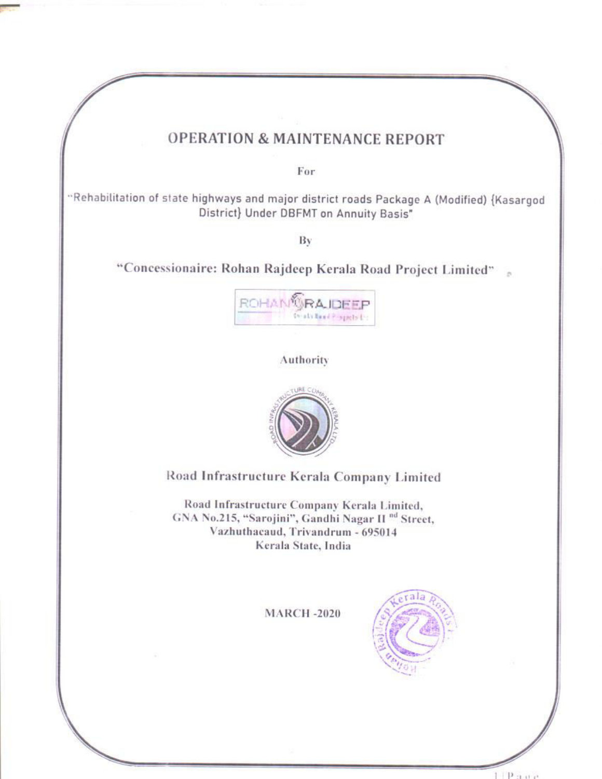# **OPERATION & MAINTENANCE REPORT**

For

"Rehabilitation of state highways and major district roads Package A (Modified) {Kasargod District} Under DBFMT on Annuity Basis"

Bv

"Concessionaire: Rohan Rajdeep Kerala Road Project Limited"



Authority



Road Infrastructure Kerala Company Limited

Road Infrastructure Company Kerala Limited, GNA No.215, "Sarojini", Gandhi Nagar II <sup>nd</sup> Street, Vazhuthacaud, Trivandrum - 695014 Kerala State, India

**MARCH-2020** 

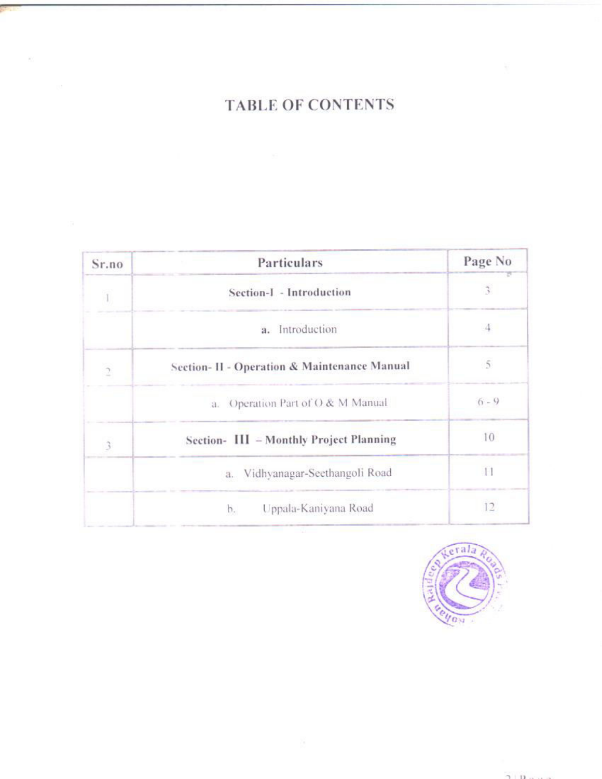# **TABLE OF CONTENTS**

 $\mathcal{L}^{\prime}$ 

| Sr.no          | Particulars                                  | Page No                     |
|----------------|----------------------------------------------|-----------------------------|
|                | Section-I - Introduction                     | $\overline{\boldsymbol{3}}$ |
|                | Introduction<br>а.                           |                             |
| $\overline{2}$ | Section- II - Operation & Maintenance Manual | 5                           |
|                | a. Operation Part of O & M Manual            | $6 - 9$                     |
| $\mathfrak{Z}$ | Section- III - Monthly Project Planning      | 10                          |
|                | a. Vidhyanagar-Seethangoli Road              | 11                          |
|                | Uppala-Kaniyana Road<br>b.                   | 12                          |

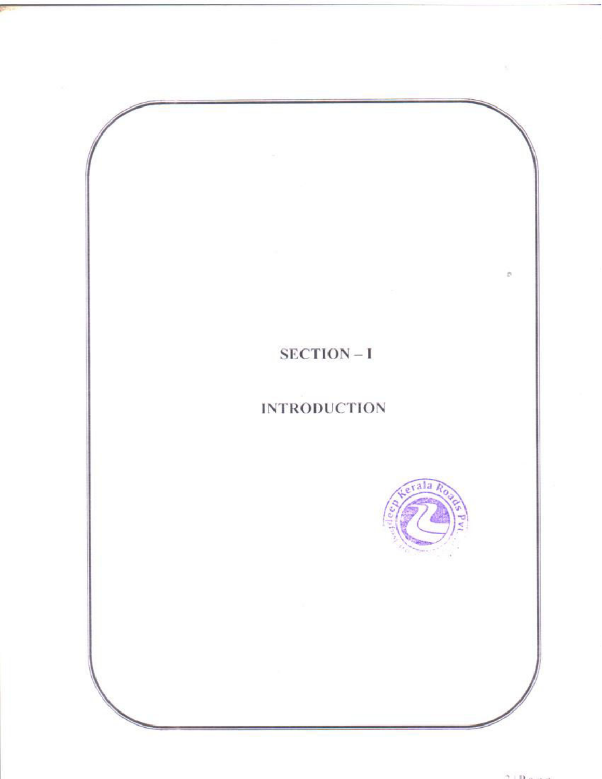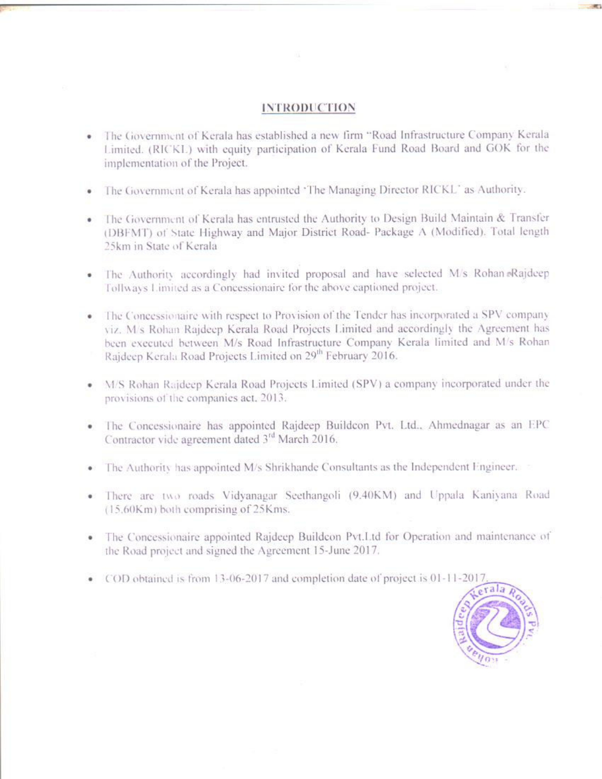### **INTRODUCTION**

- The Government of Kerala has established a new firm "Road Infrastructure Company Kerala Limited. (RICKL) with equity participation of Kerala Fund Road Board and GOK for the implementation of the Project.
- The Government of Kerala has appointed 'The Managing Director RICKL' as Authority.
- The Government of Kerala has entrusted the Authority to Design Build Maintain & Transfer (DBFMT) of State Highway and Major District Road- Package A (Modified). Total length 25km in State of Kerala
- · The Authority accordingly had invited proposal and have selected M/s Rohan Rajdeep Tollways Limited as a Concessionaire for the above captioned project.
- The Concessionaire with respect to Provision of the Tender has incorporated a SPV company viz. M/s Rohan Rajdeep Kerala Road Projects Limited and accordingly the Agreement has been executed between M/s Road Infrastructure Company Kerala limited and M/s Rohan Raideep Kerala Road Projects Limited on 29<sup>th</sup> February 2016.
- M/S Rohan Rajdeep Kerala Road Projects Limited (SPV) a company incorporated under the provisions of the companies act. 2013.
- · The Concessionaire has appointed Rajdeep Buildcon Pvt. Ltd., Ahmednagar as an EPC Contractor vide agreement dated 3<sup>rd</sup> March 2016.
- The Authority has appointed M/s Shrikhande Consultants as the Independent Engineer.
- There are two roads Vidvanagar Seethangoli (9.40KM) and Uppala Kaniyana Road (15,60Km) both comprising of 25Kms.
- The Concessionaire appointed Rajdeep Buildcon Pvt.I.td for Operation and maintenance of the Road project and signed the Agreement 15-June 2017.
- COD obtained is from 13-06-2017 and completion date of project is 01-11-2017

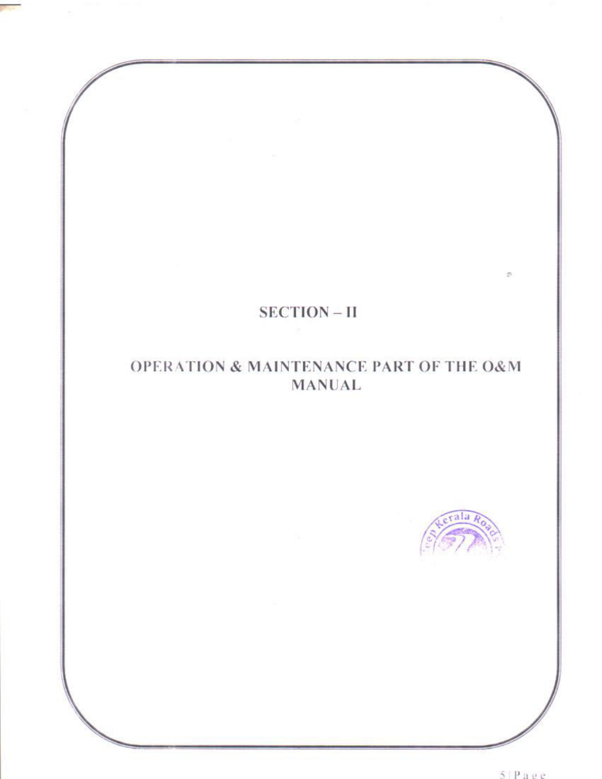

## OPERATION & MAINTENANCE PART OF THE O&M **MANUAL**



 $\mathcal{D}$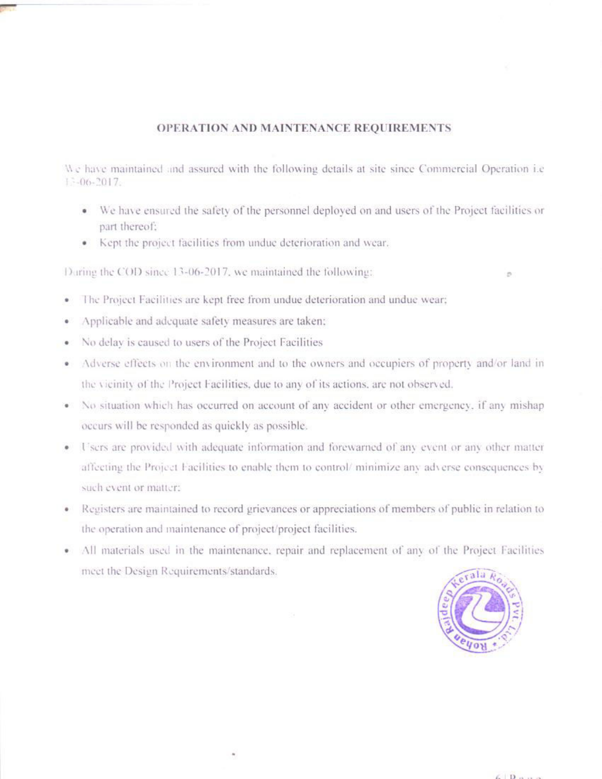### OPERATION AND MAINTENANCE REQUIREMENTS

We have maintained and assured with the following details at site since Commercial Operation i.e.  $13 - 06 - 2017$ .

- We have ensured the safety of the personnel deployed on and users of the Project facilities or part thereof:
- Kept the project facilities from undue deterioration and wear.

During the COD since 13-06-2017, we maintained the following:

- The Project Facilities are kept free from undue deterioration and undue wear; ٠
- Applicable and adequate safety measures are taken:
- No delay is caused to users of the Project Facilities
- Adverse effects on the environment and to the owners and occupiers of property and/or land in the vicinity of the Project Facilities, due to any of its actions, are not observed.
- No situation which has occurred on account of any accident or other emergency, if any mishap occurs will be responded as quickly as possible.
- Users are provided with adequate information and forewarned of any event or any other matter affecting the Project Facilities to enable them to control/minimize any adverse consequences by such event or matter;
- Registers are maintained to record grievances or appreciations of members of public in relation to the operation and maintenance of project/project facilities.
- · All materials used in the maintenance, repair and replacement of any of the Project Facilities meet the Design Requirements/standards.

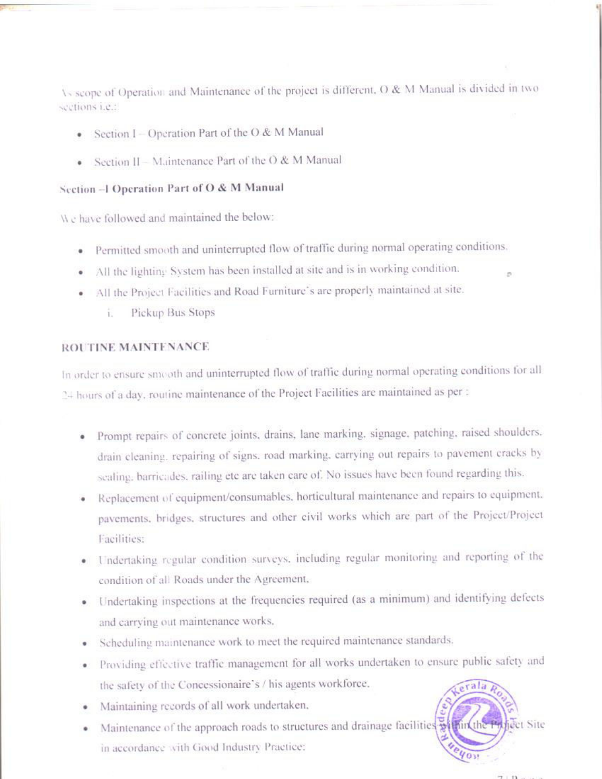As scope of Operation and Maintenance of the project is different, O & M Manual is divided in two sections i.e.:

- Section I Operation Part of the O & M Manual
- Section II Maintenance Part of the  $O & M$  Manual

### Section -1 Operation Part of O & M Manual

We have followed and maintained the below:

- · Permitted smooth and uninterrupted flow of traffic during normal operating conditions.
- All the lighting System has been installed at site and is in working condition.
- · All the Project Facilities and Road Furniture's are properly maintained at site.
	- Pickup Bus Stops ï.

### ROUTINE MAINTENANCE

In order to ensure smooth and uninterrupted flow of traffic during normal operating conditions for all 24 hours of a day, routine maintenance of the Project Facilities are maintained as per :

- · Prompt repairs of concrete joints, drains, lane marking, signage, patching, raised shoulders. drain cleaning, repairing of signs, road marking, carrying out repairs to pavement cracks by sealing, barricades, railing etc are taken care of. No issues have been found regarding this.
- · Replacement of equipment/consumables, horticultural maintenance and repairs to equipment. pavements, bridges, structures and other civil works which are part of the Project/Project Facilities:
- · Undertaking regular condition surveys, including regular monitoring and reporting of the condition of all Roads under the Agreement,
- · Undertaking inspections at the frequencies required (as a minimum) and identifying defects and carrying out maintenance works.
- · Scheduling maintenance work to meet the required maintenance standards.
- · Providing effective traffic management for all works undertaken to ensure public safety and the safety of the Concessionaire's / his agents workforce,
- · Maintaining records of all work undertaken.
- Maintenance of the approach roads to structures and drainage facilities within the iect Site ٠ in accordance with Good Industry Practice:

 $\mathcal{D}$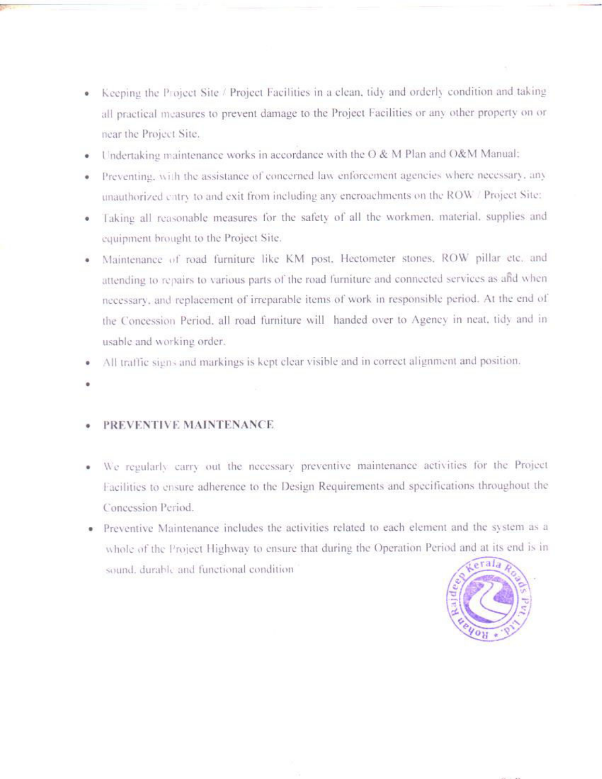- Keeping the Project Site / Project Facilities in a clean, tidy and orderly condition and taking ۰ all practical measures to prevent damage to the Project Facilities or any other property on or near the Project Site.
- Undertaking maintenance works in accordance with the O & M Plan and O&M Manual:
- Preventing, with the assistance of concerned law enforcement agencies where necessary, any unauthorized entry to and exit from including any encroachments on the ROW / Project Site:
- Taking all reasonable measures for the safety of all the workmen, material, supplies and equipment brought to the Project Site.
- Maintenance of road furniture like KM post. Hectometer stones, ROW pillar etc. and attending to repairs to various parts of the road furniture and connected services as and when necessary, and replacement of irreparable items of work in responsible period. At the end of the Concession Period, all road furniture will handed over to Agency in neat, tidy and in usable and working order.
- All traffic signs and markings is kept clear visible and in correct alignment and position.
- 

### PREVENTIVE MAINTENANCE

- We regularly carry out the necessary preventive maintenance activities for the Project ۰ Facilities to ensure adherence to the Design Requirements and specifications throughout the Concession Period
- · Preventive Maintenance includes the activities related to each element and the system as a whole of the Project Highway to ensure that during the Operation Period and at its end is in sound, durable and functional condition

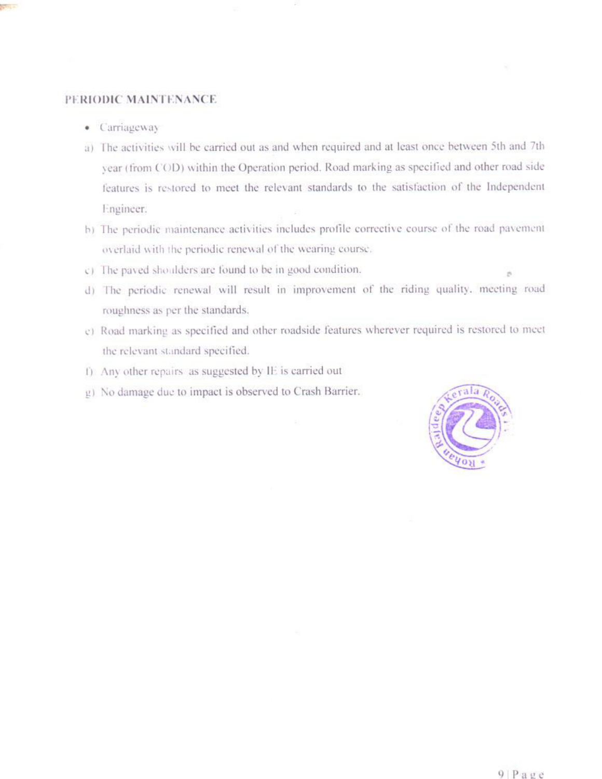### PERIODIC MAINTENANCE

- Carriageway
- a) The activities will be carried out as and when required and at least once between 5th and 7th year (from COD) within the Operation period. Road marking as specified and other road side features is restored to meet the relevant standards to the satisfaction of the Independent Engineer.
- b) The periodic maintenance activities includes profile corrective course of the road pavement overlaid with the periodic renewal of the wearing course.
- c) The paved shoulders are found to be in good condition.
- d) The periodic renewal will result in improvement of the riding quality, meeting road roughness as per the standards.
- c) Road marking as specified and other roadside features wherever required is restored to meet the relevant standard specified.
- f) Any other repairs as suggested by IE is carried out
- g) No damage due to impact is observed to Crash Barrier.

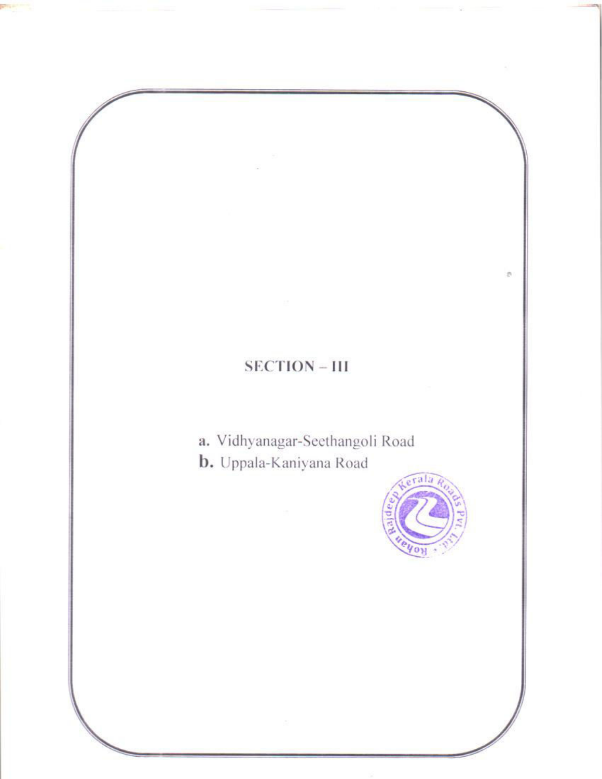# $\mathcal{D}$  $SECTION - III$ a. Vidhyanagar-Seethangoli Road b. Uppala-Kaniyana Road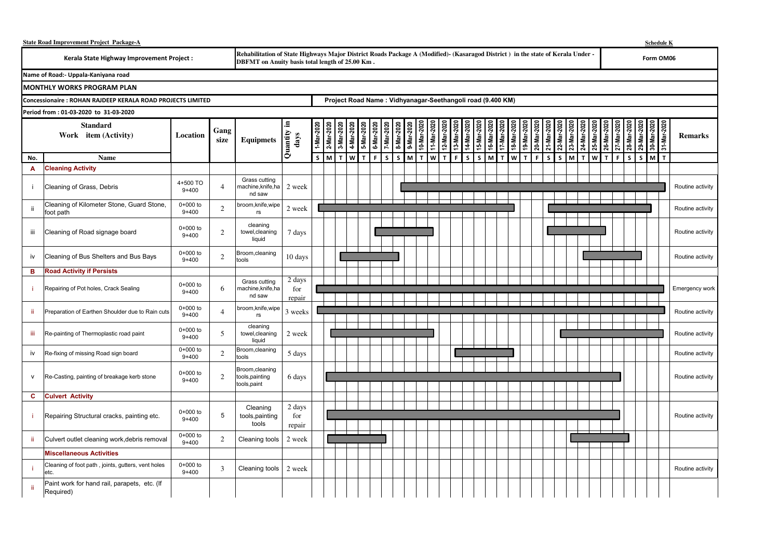|                                                                                                                                                                                                                                   | <b>State Road Improvement Project Package-A</b>             |                       |                |                                                                                                                               |                         |                                                            |            |              |                                        |              |      |                          |            |              |                            |             |                       |            |              |                             |                        |         |             |              |             |                       |           | <b>Schedule K</b> |             |              |                       |  |  |  |
|-----------------------------------------------------------------------------------------------------------------------------------------------------------------------------------------------------------------------------------|-------------------------------------------------------------|-----------------------|----------------|-------------------------------------------------------------------------------------------------------------------------------|-------------------------|------------------------------------------------------------|------------|--------------|----------------------------------------|--------------|------|--------------------------|------------|--------------|----------------------------|-------------|-----------------------|------------|--------------|-----------------------------|------------------------|---------|-------------|--------------|-------------|-----------------------|-----------|-------------------|-------------|--------------|-----------------------|--|--|--|
| Rehabilitation of State Highways Major District Roads Package A (Modified) - (Kasaragod District) in the state of Kerala Under -<br>Kerala State Highway Improvement Project :<br>DBFMT on Anuity basis total length of 25.00 Km. |                                                             |                       |                |                                                                                                                               |                         |                                                            |            |              |                                        |              |      |                          |            |              |                            |             |                       |            |              |                             |                        |         |             |              | Form OM06   |                       |           |                   |             |              |                       |  |  |  |
|                                                                                                                                                                                                                                   | Name of Road:- Uppala-Kaniyana road                         |                       |                |                                                                                                                               |                         |                                                            |            |              |                                        |              |      |                          |            |              |                            |             |                       |            |              |                             |                        |         |             |              |             |                       |           |                   |             |              |                       |  |  |  |
|                                                                                                                                                                                                                                   | <b>MONTHLY WORKS PROGRAM PLAN</b>                           |                       |                |                                                                                                                               |                         |                                                            |            |              |                                        |              |      |                          |            |              |                            |             |                       |            |              |                             |                        |         |             |              |             |                       |           |                   |             |              |                       |  |  |  |
|                                                                                                                                                                                                                                   | Concessionaire : ROHAN RAJDEEP KERALA ROAD PROJECTS LIMITED |                       |                |                                                                                                                               |                         | Project Road Name: Vidhyanagar-Seethangoli road (9.400 KM) |            |              |                                        |              |      |                          |            |              |                            |             |                       |            |              |                             |                        |         |             |              |             |                       |           |                   |             |              |                       |  |  |  |
|                                                                                                                                                                                                                                   | Period from: 01-03-2020 to 31-03-2020                       |                       |                |                                                                                                                               |                         |                                                            |            |              |                                        |              |      |                          |            |              |                            |             |                       |            |              |                             |                        |         |             |              |             |                       |           |                   |             |              |                       |  |  |  |
|                                                                                                                                                                                                                                   | <b>Standard</b><br>Work item (Activity)                     | Location              | Gang<br>size   | Equipmets $\begin{bmatrix} \frac{1}{2} & \frac{1}{2} \\ \frac{1}{2} & \frac{1}{2} \\ \frac{1}{2} & \frac{1}{2} \end{bmatrix}$ |                         | 1-Mar-2020                                                 | 2-Mar-2020 |              | 3-Mar-2020<br>4-Mar-2020<br>5-Mar-2020 | 6-Mar-2020   |      | 7-Mar-2020<br>8-Mar-2020 | 9-Mar-2020 | 707-sew-0    | 11-Mar-2020<br>12-Mar-2020 | 13-Mar-20   | 14-Mar-202<br>15-Mar- | )202-1eW-9 | 17-Mar-202   | )<br>18-Mar-21<br>18-Mar-21 | 21-Mar-20<br>)2-Mar-02 | 22-Mar- | 23-Mar-2020 | 24-Mar-202   | 25-Mar-2020 | 202-10N-72<br>26-Mar- | 202-ww-8Z | 29-Mar-           | 30-Mar-2020 | 31-Mar-2020  | <b>Remarks</b>        |  |  |  |
| No.                                                                                                                                                                                                                               | Name                                                        |                       |                |                                                                                                                               |                         | S                                                          | <b>M</b>   | $\mathbf{T}$ | $W$ T                                  | $\mathbf{F}$ | ls l | $\mathsf{s}$             | M          | $\mathbf{T}$ | <b>W</b> <sub>I</sub>      | $\mathsf F$ | <b>S</b>              | M<br>S.    | $\mathbf{T}$ | <b>WIT</b>                  | $\mathbf F$<br>s       | s.      | M           | $\mathbf{r}$ | w I T       | $\mathbf{F}$          | S.        |                   | $S$ M       | $\mathbf{T}$ |                       |  |  |  |
| A                                                                                                                                                                                                                                 | <b>Cleaning Activity</b>                                    |                       |                |                                                                                                                               |                         |                                                            |            |              |                                        |              |      |                          |            |              |                            |             |                       |            |              |                             |                        |         |             |              |             |                       |           |                   |             |              |                       |  |  |  |
|                                                                                                                                                                                                                                   | Cleaning of Grass, Debris                                   | 4+500 TO<br>$9 + 400$ | $\overline{4}$ | Grass cutting<br>machine,knife,ha  <br>nd saw                                                                                 | 2 week                  |                                                            |            |              |                                        |              |      |                          |            |              |                            |             |                       |            |              |                             |                        |         |             |              |             |                       |           |                   |             |              | Routine activity      |  |  |  |
| ii.                                                                                                                                                                                                                               | Cleaning of Kilometer Stone, Guard Stone,<br>foot path      | 0+000 to<br>$9 + 400$ | $\overline{c}$ | broom, knife, wipe<br>rs                                                                                                      | 2 week                  |                                                            |            |              |                                        |              |      |                          |            |              |                            |             |                       |            |              |                             |                        |         |             |              |             |                       |           |                   |             |              | Routine activity      |  |  |  |
| iii                                                                                                                                                                                                                               | Cleaning of Road signage board                              | 0+000 to<br>$9 + 400$ | 2              | cleaning<br>towel, cleaning<br>liquid                                                                                         | 7 days                  |                                                            |            |              |                                        |              |      |                          |            |              |                            |             |                       |            |              |                             |                        |         |             |              |             |                       |           |                   |             |              | Routine activity      |  |  |  |
| iv                                                                                                                                                                                                                                | Cleaning of Bus Shelters and Bus Bays                       | 0+000 to<br>$9 + 400$ | 2              | Broom,cleaning<br>tools                                                                                                       | 10 days                 |                                                            |            |              |                                        |              |      |                          |            |              |                            |             |                       |            |              |                             |                        |         |             |              |             |                       |           |                   |             |              | Routine activity      |  |  |  |
| в                                                                                                                                                                                                                                 | <b>Road Activity if Persists</b>                            |                       |                |                                                                                                                               |                         |                                                            |            |              |                                        |              |      |                          |            |              |                            |             |                       |            |              |                             |                        |         |             |              |             |                       |           |                   |             |              |                       |  |  |  |
|                                                                                                                                                                                                                                   | Repairing of Pot holes, Crack Sealing                       | 0+000 to<br>$9 + 400$ | 6              | Grass cutting<br>machine,knife,ha<br>nd saw                                                                                   | 2 days<br>for<br>repair |                                                            |            |              |                                        |              |      |                          |            |              |                            |             |                       |            |              |                             |                        |         |             |              |             |                       |           |                   |             |              | <b>Emergency work</b> |  |  |  |
| -ii                                                                                                                                                                                                                               | Preparation of Earthen Shoulder due to Rain cuts            | 0+000 to<br>$9 + 400$ | $\overline{4}$ | broom, knife, wipe<br>rs                                                                                                      | 3 weeks                 |                                                            |            |              |                                        |              |      |                          |            |              |                            |             |                       |            |              |                             |                        |         |             |              |             |                       |           |                   |             |              | Routine activity      |  |  |  |
| iii                                                                                                                                                                                                                               | Re-painting of Thermoplastic road paint                     | 0+000 to<br>$9 + 400$ | 5              | cleaning<br>towel, cleaning<br>liquid                                                                                         | 2 week                  |                                                            |            |              |                                        |              |      |                          |            |              |                            |             |                       |            |              |                             |                        |         |             |              |             |                       |           |                   |             |              | Routine activity      |  |  |  |
| iv                                                                                                                                                                                                                                | Re-fixing of missing Road sign board                        | 0+000 to<br>$9 + 400$ | $\overline{c}$ | Broom, cleaning<br>tools                                                                                                      | 5 days                  |                                                            |            |              |                                        |              |      |                          |            |              |                            |             |                       |            |              |                             |                        |         |             |              |             |                       |           |                   |             |              | Routine activity      |  |  |  |
| $\mathsf{v}$                                                                                                                                                                                                                      | Re-Casting, painting of breakage kerb stone                 | 0+000 to<br>$9 + 400$ | 2              | Broom, cleaning<br>tools, painting<br>tools,paint                                                                             | 6 days                  |                                                            |            |              |                                        |              |      |                          |            |              |                            |             |                       |            |              |                             |                        |         |             |              |             |                       |           |                   |             |              | Routine activity      |  |  |  |
| C                                                                                                                                                                                                                                 | <b>Culvert Activity</b>                                     |                       |                |                                                                                                                               |                         |                                                            |            |              |                                        |              |      |                          |            |              |                            |             |                       |            |              |                             |                        |         |             |              |             |                       |           |                   |             |              |                       |  |  |  |
|                                                                                                                                                                                                                                   | Repairing Structural cracks, painting etc.                  | 0+000 to<br>$9 + 400$ | 5              | Cleaning<br>tools, painting<br>tools                                                                                          | 2 days<br>for<br>repair |                                                            |            |              |                                        |              |      |                          |            |              |                            |             |                       |            |              |                             |                        |         |             |              |             |                       |           |                   |             |              | Routine activity      |  |  |  |
| -ii                                                                                                                                                                                                                               | Culvert outlet cleaning work, debris removal                | 0+000 to<br>$9 + 400$ | $\overline{c}$ | Cleaning tools                                                                                                                | 2 week                  |                                                            |            |              |                                        |              |      |                          |            |              |                            |             |                       |            |              |                             |                        |         |             |              |             |                       |           |                   |             |              |                       |  |  |  |
|                                                                                                                                                                                                                                   | <b>Miscellaneous Activities</b>                             |                       |                |                                                                                                                               |                         |                                                            |            |              |                                        |              |      |                          |            |              |                            |             |                       |            |              |                             |                        |         |             |              |             |                       |           |                   |             |              |                       |  |  |  |
|                                                                                                                                                                                                                                   | Cleaning of foot path, joints, gutters, vent holes<br>etc.  | 0+000 to<br>$9 + 400$ | 3              | Cleaning tools                                                                                                                | 2 week                  |                                                            |            |              |                                        |              |      |                          |            |              |                            |             |                       |            |              |                             |                        |         |             |              |             |                       |           |                   |             |              | Routine activity      |  |  |  |
| ji.                                                                                                                                                                                                                               | Paint work for hand rail, parapets, etc. (If<br>Required)   |                       |                |                                                                                                                               |                         |                                                            |            |              |                                        |              |      |                          |            |              |                            |             |                       |            |              |                             |                        |         |             |              |             |                       |           |                   |             |              |                       |  |  |  |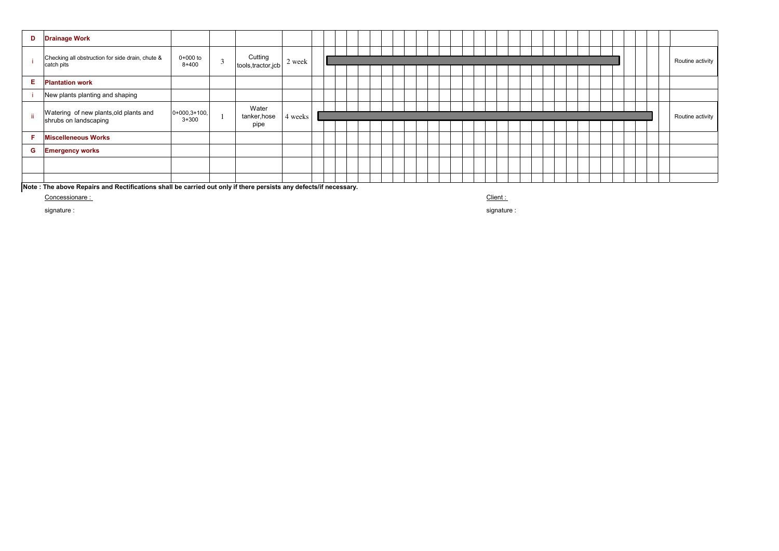| D   | <b>Drainage Work</b>                                            |                             |        |                                |         |  |  |  |  |  |  |  |  |  |  |  |  |                  |
|-----|-----------------------------------------------------------------|-----------------------------|--------|--------------------------------|---------|--|--|--|--|--|--|--|--|--|--|--|--|------------------|
|     | Checking all obstruction for side drain, chute &<br>catch pits  | 0+000 to<br>$8 + 400$       | $\sim$ | Cutting<br>tools, tractor, jcb | 2 week  |  |  |  |  |  |  |  |  |  |  |  |  | Routine activity |
| Е.  | <b>Plantation work</b>                                          |                             |        |                                |         |  |  |  |  |  |  |  |  |  |  |  |  |                  |
|     | New plants planting and shaping                                 |                             |        |                                |         |  |  |  |  |  |  |  |  |  |  |  |  |                  |
| -ii | Watering of new plants, old plants and<br>shrubs on landscaping | $0+000,3+100,$<br>$3 + 300$ |        | Water<br>tanker, hose<br>pipe  | 4 weeks |  |  |  |  |  |  |  |  |  |  |  |  | Routine activity |
| F   | <b>Miscelleneous Works</b>                                      |                             |        |                                |         |  |  |  |  |  |  |  |  |  |  |  |  |                  |
| G   | <b>Emergency works</b>                                          |                             |        |                                |         |  |  |  |  |  |  |  |  |  |  |  |  |                  |
|     |                                                                 |                             |        |                                |         |  |  |  |  |  |  |  |  |  |  |  |  |                  |
|     |                                                                 |                             |        |                                |         |  |  |  |  |  |  |  |  |  |  |  |  |                  |

**Note : The above Repairs and Rectifications shall be carried out only if there persists any defects/if necessary.**

Concessionare : Client :

signature : signature :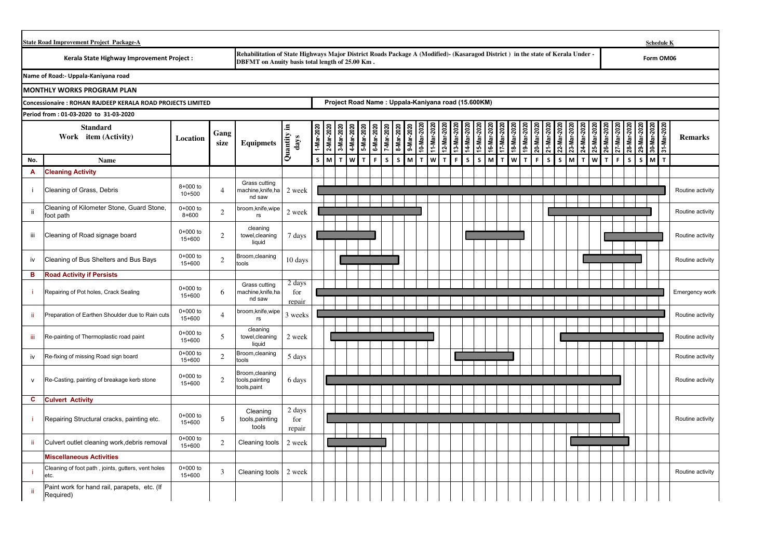|              | <b>State Road Improvement Project Package-A</b><br>Rehabilitation of State Highways Major District Roads Package A (Modified)- (Kasaragod District) in the state of Kerala Under -<br>Kerala State Highway Improvement Project :<br>DBFMT on Anuity basis total length of 25.00 Km. |                        |                |                                                   |                                      |              |                                                    |           |            |                          |                   |           |              |          |                        |              |        | <b>Schedule K</b> |         |          |                    |                    |          |            |           |           |                   |          |              |           |                        |                  |  |
|--------------|-------------------------------------------------------------------------------------------------------------------------------------------------------------------------------------------------------------------------------------------------------------------------------------|------------------------|----------------|---------------------------------------------------|--------------------------------------|--------------|----------------------------------------------------|-----------|------------|--------------------------|-------------------|-----------|--------------|----------|------------------------|--------------|--------|-------------------|---------|----------|--------------------|--------------------|----------|------------|-----------|-----------|-------------------|----------|--------------|-----------|------------------------|------------------|--|
|              |                                                                                                                                                                                                                                                                                     |                        |                |                                                   |                                      |              |                                                    |           |            |                          |                   |           |              |          |                        |              |        |                   |         |          |                    |                    |          |            |           |           |                   |          |              |           | Form OM06              |                  |  |
|              | Name of Road:- Uppala-Kaniyana road                                                                                                                                                                                                                                                 |                        |                |                                                   |                                      |              |                                                    |           |            |                          |                   |           |              |          |                        |              |        |                   |         |          |                    |                    |          |            |           |           |                   |          |              |           |                        |                  |  |
|              | <b>MONTHLY WORKS PROGRAM PLAN</b>                                                                                                                                                                                                                                                   |                        |                |                                                   |                                      |              |                                                    |           |            |                          |                   |           |              |          |                        |              |        |                   |         |          |                    |                    |          |            |           |           |                   |          |              |           |                        |                  |  |
|              | <b>Concessionaire: ROHAN RAJDEEP KERALA ROAD PROJECTS LIMITED</b>                                                                                                                                                                                                                   |                        |                |                                                   |                                      |              | Project Road Name: Uppala-Kaniyana road (15.600KM) |           |            |                          |                   |           |              |          |                        |              |        |                   |         |          |                    |                    |          |            |           |           |                   |          |              |           |                        |                  |  |
|              | Period from: 01-03-2020 to 31-03-2020                                                                                                                                                                                                                                               |                        |                |                                                   |                                      |              |                                                    |           |            |                          |                   |           |              |          |                        |              |        |                   |         |          |                    |                    |          |            |           |           |                   |          |              |           |                        |                  |  |
|              | <b>Standard</b><br>Work item (Activity)                                                                                                                                                                                                                                             | Location               | Gang<br>size   | <b>Equipmets</b>                                  | ⋴<br>$\overline{Quantity}$ i<br>days | 1-Mar-202    | 3-Mar-202<br>2-Mar-202                             | 4-Mar-202 | 5-Mar-2020 | 6-Mar-2020<br>7-Mar-2020 | 8-Mar-202         | 9-Mar-202 | 10-Mar-20    | 11-Mar-3 | 12-Mar-202<br>13-Mar-3 | 14-Mar-202   | 5-Mar- | 16-Mar-202        | l7-Mar- | 18-Mar-3 | 20-Mar-<br>19-Mar- | 21-Mar-20          | 22-Mar-3 | 23-Mar-202 | 24-Mar-20 | 25-Mar-20 | 26-Mar-2          | 27-Mar-2 | 28-Mar-      | 29-Mar-20 | 31-Mar-202<br>30-Mar-2 | <b>Remarks</b>   |  |
| No.          | Name                                                                                                                                                                                                                                                                                |                        |                |                                                   |                                      | $\mathsf{s}$ | M<br>т                                             | W         | T          | F.                       | $\mathsf{s}$<br>s | Iм        | $\mathbf{T}$ | W        | $\mathbf{T}$<br>F.     | $\mathsf{s}$ | S.     | M                 | T.      | W        | $\mathbf{T}$       | $\mathsf{s}$<br>F. |          | s          | мІт       |           | w<br>$\mathbf{T}$ | F.       | $\mathsf{s}$ | s         | M<br>$\mathbf{r}$      |                  |  |
| A            | <b>Cleaning Activity</b>                                                                                                                                                                                                                                                            |                        |                |                                                   |                                      |              |                                                    |           |            |                          |                   |           |              |          |                        |              |        |                   |         |          |                    |                    |          |            |           |           |                   |          |              |           |                        |                  |  |
| ÷            | Cleaning of Grass, Debris                                                                                                                                                                                                                                                           | 8+000 to<br>$10 + 500$ | $\overline{4}$ | Grass cutting<br>machine,knife,ha<br>nd saw       | 2 week                               |              |                                                    |           |            |                          |                   |           |              |          |                        |              |        |                   |         |          |                    |                    |          |            |           |           |                   |          |              |           |                        | Routine activity |  |
| ii.          | Cleaning of Kilometer Stone, Guard Stone,<br>foot path                                                                                                                                                                                                                              | 0+000 to<br>$8 + 600$  | 2              | broom, knife, wipe<br>$r\mathbf{s}$               | 2 week                               |              |                                                    |           |            |                          |                   |           |              |          |                        |              |        |                   |         |          |                    |                    |          |            |           |           |                   |          |              |           |                        | Routine activity |  |
| Ϊİ           | Cleaning of Road signage board                                                                                                                                                                                                                                                      | $0+000$ to<br>15+600   | 2              | cleaning<br>towel, cleaning<br>liquid             | 7 days                               |              |                                                    |           |            |                          |                   |           |              |          |                        |              |        |                   |         |          |                    |                    |          |            |           |           |                   |          |              |           |                        | Routine activity |  |
| iv           | Cleaning of Bus Shelters and Bus Bays                                                                                                                                                                                                                                               | 0+000 to<br>15+600     | 2              | Broom, cleaning<br>tools                          | 10 days                              |              |                                                    |           |            |                          |                   |           |              |          |                        |              |        |                   |         |          |                    |                    |          |            |           |           |                   |          |              |           |                        | Routine activity |  |
| B            | <b>Road Activity if Persists</b>                                                                                                                                                                                                                                                    |                        |                |                                                   |                                      |              |                                                    |           |            |                          |                   |           |              |          |                        |              |        |                   |         |          |                    |                    |          |            |           |           |                   |          |              |           |                        |                  |  |
| ÷ĭ.          | Repairing of Pot holes, Crack Sealing                                                                                                                                                                                                                                               | $0+000$ to<br>$15+600$ | 6              | Grass cutting<br>machine,knife,ha<br>nd saw       | 2 days<br>for<br>repair              |              |                                                    |           |            |                          |                   |           |              |          |                        |              |        |                   |         |          |                    |                    |          |            |           |           |                   |          |              |           |                        | Emergency work   |  |
| -ii          | Preparation of Earthen Shoulder due to Rain cuts                                                                                                                                                                                                                                    | $0+000$ to<br>$15+600$ | $\overline{A}$ | broom, knife, wipe<br>rs                          | 3 weeks                              |              |                                                    |           |            |                          |                   |           |              |          |                        |              |        |                   |         |          |                    |                    |          |            |           |           |                   |          |              |           |                        | Routine activity |  |
| Ш            | Re-painting of Thermoplastic road paint                                                                                                                                                                                                                                             | $0+000$ to<br>15+600   | 5              | cleaning<br>towel, cleaning<br>liquid             | 2 week                               |              |                                                    |           |            |                          |                   |           |              |          |                        |              |        |                   |         |          |                    |                    |          |            |           |           |                   |          |              |           |                        | Routine activity |  |
| iv           | Re-fixing of missing Road sign board                                                                                                                                                                                                                                                | $0+000$ to<br>15+600   | $\overline{2}$ | Broom, cleaning<br>tools                          | 5 days                               |              |                                                    |           |            |                          |                   |           |              |          |                        |              |        |                   |         |          |                    |                    |          |            |           |           |                   |          |              |           |                        | Routine activity |  |
| $\mathsf{V}$ | Re-Casting, painting of breakage kerb stone                                                                                                                                                                                                                                         | $0+000$ to<br>15+600   | 2              | Broom, cleaning<br>tools, painting<br>tools,paint | 6 days                               |              |                                                    |           |            |                          |                   |           |              |          |                        |              |        |                   |         |          |                    |                    |          |            |           |           |                   |          |              |           |                        | Routine activity |  |
| c            | <b>Culvert Activity</b>                                                                                                                                                                                                                                                             |                        |                |                                                   |                                      |              |                                                    |           |            |                          |                   |           |              |          |                        |              |        |                   |         |          |                    |                    |          |            |           |           |                   |          |              |           |                        |                  |  |
| ÷i.          | Repairing Structural cracks, painting etc.                                                                                                                                                                                                                                          | $0+000$ to<br>15+600   | 5              | Cleaning<br>tools, painting<br>tools              | 2 days<br>for<br>repair              |              |                                                    |           |            |                          |                   |           |              |          |                        |              |        |                   |         |          |                    |                    |          |            |           |           |                   |          |              |           |                        | Routine activity |  |
| ji.          | Culvert outlet cleaning work, debris removal                                                                                                                                                                                                                                        | 0+000 to<br>15+600     | 2              | Cleaning tools                                    | 2 week                               |              |                                                    |           |            |                          |                   |           |              |          |                        |              |        |                   |         |          |                    |                    |          |            |           |           |                   |          |              |           |                        |                  |  |
|              | <b>Miscellaneous Activities</b>                                                                                                                                                                                                                                                     |                        |                |                                                   |                                      |              |                                                    |           |            |                          |                   |           |              |          |                        |              |        |                   |         |          |                    |                    |          |            |           |           |                   |          |              |           |                        |                  |  |
| -i.          | Cleaning of foot path, joints, gutters, vent holes<br>etc.                                                                                                                                                                                                                          | $0+000$ to<br>$15+600$ | 3              | Cleaning tools                                    | 2 week                               |              |                                                    |           |            |                          |                   |           |              |          |                        |              |        |                   |         |          |                    |                    |          |            |           |           |                   |          |              |           |                        | Routine activity |  |
| ji           | Paint work for hand rail, parapets, etc. (If<br>Required)                                                                                                                                                                                                                           |                        |                |                                                   |                                      |              |                                                    |           |            |                          |                   |           |              |          |                        |              |        |                   |         |          |                    |                    |          |            |           |           |                   |          |              |           |                        |                  |  |